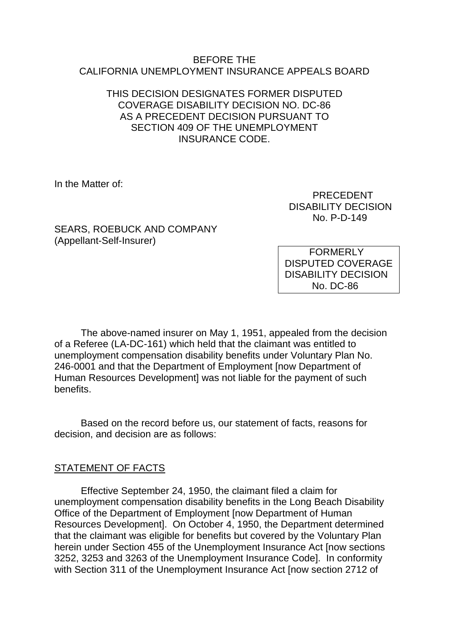#### BEFORE THE CALIFORNIA UNEMPLOYMENT INSURANCE APPEALS BOARD

### THIS DECISION DESIGNATES FORMER DISPUTED COVERAGE DISABILITY DECISION NO. DC-86 AS A PRECEDENT DECISION PURSUANT TO SECTION 409 OF THE UNEMPLOYMENT INSURANCE CODE.

In the Matter of:

 PRECEDENT DISABILITY DECISION No. P-D-149

SEARS, ROEBUCK AND COMPANY (Appellant-Self-Insurer)

**FORMERLY** DISPUTED COVERAGE DISABILITY DECISION No. DC-86

The above-named insurer on May 1, 1951, appealed from the decision of a Referee (LA-DC-161) which held that the claimant was entitled to unemployment compensation disability benefits under Voluntary Plan No. 246-0001 and that the Department of Employment [now Department of Human Resources Development] was not liable for the payment of such benefits.

Based on the record before us, our statement of facts, reasons for decision, and decision are as follows:

### STATEMENT OF FACTS

Effective September 24, 1950, the claimant filed a claim for unemployment compensation disability benefits in the Long Beach Disability Office of the Department of Employment [now Department of Human Resources Development]. On October 4, 1950, the Department determined that the claimant was eligible for benefits but covered by the Voluntary Plan herein under Section 455 of the Unemployment Insurance Act [now sections 3252, 3253 and 3263 of the Unemployment Insurance Code]. In conformity with Section 311 of the Unemployment Insurance Act [now section 2712 of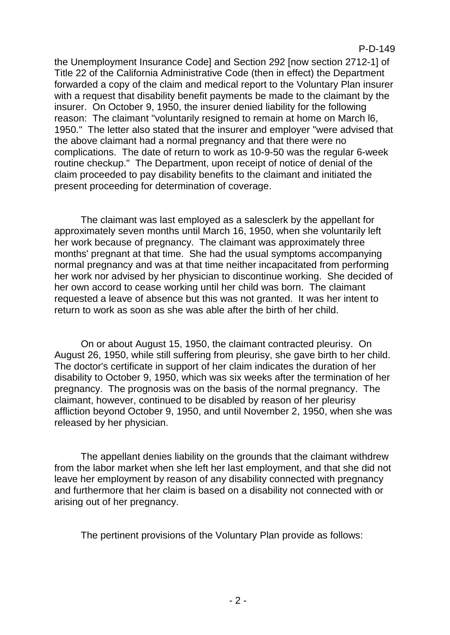the Unemployment Insurance Code] and Section 292 [now section 2712-1] of Title 22 of the California Administrative Code (then in effect) the Department forwarded a copy of the claim and medical report to the Voluntary Plan insurer with a request that disability benefit payments be made to the claimant by the insurer. On October 9, 1950, the insurer denied liability for the following reason: The claimant "voluntarily resigned to remain at home on March l6, 1950." The letter also stated that the insurer and employer "were advised that the above claimant had a normal pregnancy and that there were no complications. The date of return to work as 10-9-50 was the regular 6-week routine checkup." The Department, upon receipt of notice of denial of the claim proceeded to pay disability benefits to the claimant and initiated the present proceeding for determination of coverage.

The claimant was last employed as a salesclerk by the appellant for approximately seven months until March 16, 1950, when she voluntarily left her work because of pregnancy. The claimant was approximately three months' pregnant at that time. She had the usual symptoms accompanying normal pregnancy and was at that time neither incapacitated from performing her work nor advised by her physician to discontinue working. She decided of her own accord to cease working until her child was born. The claimant requested a leave of absence but this was not granted. It was her intent to return to work as soon as she was able after the birth of her child.

On or about August 15, 1950, the claimant contracted pleurisy. On August 26, 1950, while still suffering from pleurisy, she gave birth to her child. The doctor's certificate in support of her claim indicates the duration of her disability to October 9, 1950, which was six weeks after the termination of her pregnancy. The prognosis was on the basis of the normal pregnancy. The claimant, however, continued to be disabled by reason of her pleurisy affliction beyond October 9, 1950, and until November 2, 1950, when she was released by her physician.

The appellant denies liability on the grounds that the claimant withdrew from the labor market when she left her last employment, and that she did not leave her employment by reason of any disability connected with pregnancy and furthermore that her claim is based on a disability not connected with or arising out of her pregnancy.

The pertinent provisions of the Voluntary Plan provide as follows: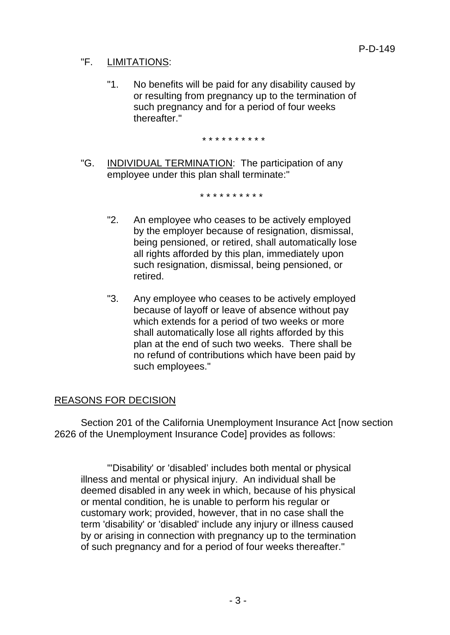# "F. LIMITATIONS:

"1. No benefits will be paid for any disability caused by or resulting from pregnancy up to the termination of such pregnancy and for a period of four weeks thereafter."

\* \* \* \* \* \* \* \* \* \*

"G. INDIVIDUAL TERMINATION: The participation of any employee under this plan shall terminate:"

\* \* \* \* \* \* \* \* \* \*

- "2. An employee who ceases to be actively employed by the employer because of resignation, dismissal, being pensioned, or retired, shall automatically lose all rights afforded by this plan, immediately upon such resignation, dismissal, being pensioned, or retired.
- "3. Any employee who ceases to be actively employed because of layoff or leave of absence without pay which extends for a period of two weeks or more shall automatically lose all rights afforded by this plan at the end of such two weeks. There shall be no refund of contributions which have been paid by such employees."

# REASONS FOR DECISION

Section 201 of the California Unemployment Insurance Act [now section 2626 of the Unemployment Insurance Code] provides as follows:

"'Disability' or 'disabled' includes both mental or physical illness and mental or physical injury. An individual shall be deemed disabled in any week in which, because of his physical or mental condition, he is unable to perform his regular or customary work; provided, however, that in no case shall the term 'disability' or 'disabled' include any injury or illness caused by or arising in connection with pregnancy up to the termination of such pregnancy and for a period of four weeks thereafter."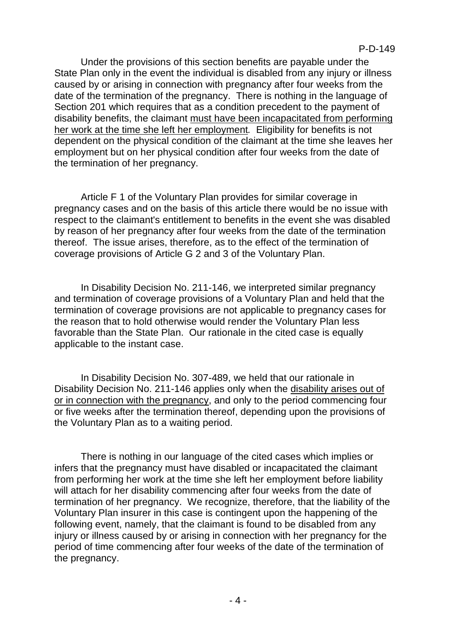Under the provisions of this section benefits are payable under the State Plan only in the event the individual is disabled from any injury or illness caused by or arising in connection with pregnancy after four weeks from the date of the termination of the pregnancy. There is nothing in the language of Section 201 which requires that as a condition precedent to the payment of disability benefits, the claimant must have been incapacitated from performing her work at the time she left her employment*.* Eligibility for benefits is not dependent on the physical condition of the claimant at the time she leaves her employment but on her physical condition after four weeks from the date of the termination of her pregnancy.

Article F 1 of the Voluntary Plan provides for similar coverage in pregnancy cases and on the basis of this article there would be no issue with respect to the claimant's entitlement to benefits in the event she was disabled by reason of her pregnancy after four weeks from the date of the termination thereof. The issue arises, therefore, as to the effect of the termination of coverage provisions of Article G 2 and 3 of the Voluntary Plan.

In Disability Decision No. 211-146, we interpreted similar pregnancy and termination of coverage provisions of a Voluntary Plan and held that the termination of coverage provisions are not applicable to pregnancy cases for the reason that to hold otherwise would render the Voluntary Plan less favorable than the State Plan. Our rationale in the cited case is equally applicable to the instant case.

In Disability Decision No. 307-489, we held that our rationale in Disability Decision No. 211-146 applies only when the disability arises out of or in connection with the pregnancy, and only to the period commencing four or five weeks after the termination thereof, depending upon the provisions of the Voluntary Plan as to a waiting period.

There is nothing in our language of the cited cases which implies or infers that the pregnancy must have disabled or incapacitated the claimant from performing her work at the time she left her employment before liability will attach for her disability commencing after four weeks from the date of termination of her pregnancy. We recognize, therefore, that the liability of the Voluntary Plan insurer in this case is contingent upon the happening of the following event, namely, that the claimant is found to be disabled from any injury or illness caused by or arising in connection with her pregnancy for the period of time commencing after four weeks of the date of the termination of the pregnancy.